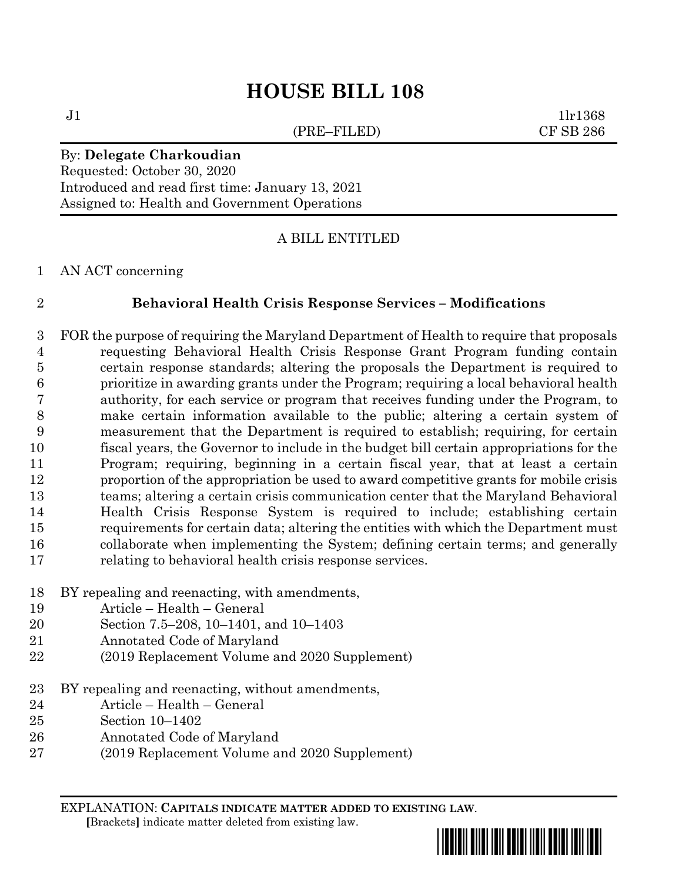# **HOUSE BILL 108**

(PRE–FILED) CF SB 286

 $J1$   $1lr1368$ 

### By: **Delegate Charkoudian**

Requested: October 30, 2020 Introduced and read first time: January 13, 2021 Assigned to: Health and Government Operations

### A BILL ENTITLED

#### AN ACT concerning

#### **Behavioral Health Crisis Response Services – Modifications**

 FOR the purpose of requiring the Maryland Department of Health to require that proposals requesting Behavioral Health Crisis Response Grant Program funding contain certain response standards; altering the proposals the Department is required to prioritize in awarding grants under the Program; requiring a local behavioral health authority, for each service or program that receives funding under the Program, to make certain information available to the public; altering a certain system of measurement that the Department is required to establish; requiring, for certain fiscal years, the Governor to include in the budget bill certain appropriations for the Program; requiring, beginning in a certain fiscal year, that at least a certain proportion of the appropriation be used to award competitive grants for mobile crisis teams; altering a certain crisis communication center that the Maryland Behavioral Health Crisis Response System is required to include; establishing certain requirements for certain data; altering the entities with which the Department must collaborate when implementing the System; defining certain terms; and generally relating to behavioral health crisis response services.

- BY repealing and reenacting, with amendments,
- Article Health General
- Section 7.5–208, 10–1401, and 10–1403
- Annotated Code of Maryland
- (2019 Replacement Volume and 2020 Supplement)
- BY repealing and reenacting, without amendments,
- Article Health General
- Section 10–1402
- Annotated Code of Maryland
- (2019 Replacement Volume and 2020 Supplement)

EXPLANATION: **CAPITALS INDICATE MATTER ADDED TO EXISTING LAW**.  **[**Brackets**]** indicate matter deleted from existing law.

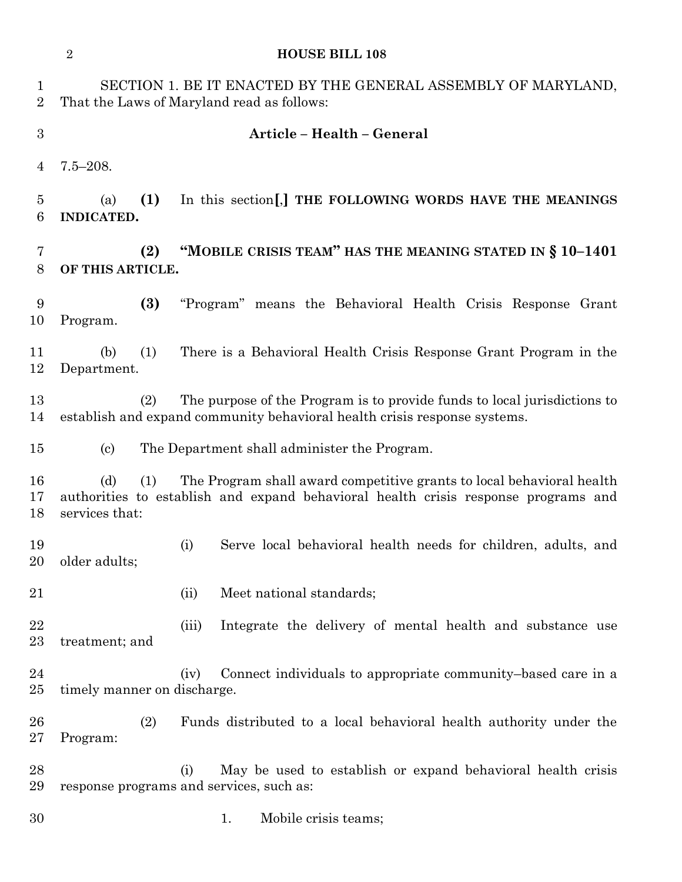|                            | $\sqrt{2}$<br><b>HOUSE BILL 108</b>                                                                         |                                                                                                                                                             |  |  |  |  |  |  |  |
|----------------------------|-------------------------------------------------------------------------------------------------------------|-------------------------------------------------------------------------------------------------------------------------------------------------------------|--|--|--|--|--|--|--|
| $\mathbf{1}$<br>$\sqrt{2}$ | SECTION 1. BE IT ENACTED BY THE GENERAL ASSEMBLY OF MARYLAND,<br>That the Laws of Maryland read as follows: |                                                                                                                                                             |  |  |  |  |  |  |  |
| 3                          | Article - Health - General                                                                                  |                                                                                                                                                             |  |  |  |  |  |  |  |
| 4                          | $7.5 - 208.$                                                                                                |                                                                                                                                                             |  |  |  |  |  |  |  |
| $\overline{5}$<br>6        | (1)<br>In this section[,] THE FOLLOWING WORDS HAVE THE MEANINGS<br>(a)<br><b>INDICATED.</b>                 |                                                                                                                                                             |  |  |  |  |  |  |  |
| 7<br>8                     | "MOBILE CRISIS TEAM" HAS THE MEANING STATED IN § 10-1401<br>(2)<br>OF THIS ARTICLE.                         |                                                                                                                                                             |  |  |  |  |  |  |  |
| 9<br>10                    | (3)<br>Program.                                                                                             | "Program" means the Behavioral Health Crisis Response Grant                                                                                                 |  |  |  |  |  |  |  |
| 11<br>12                   | (b)<br>(1)<br>Department.                                                                                   | There is a Behavioral Health Crisis Response Grant Program in the                                                                                           |  |  |  |  |  |  |  |
| 13<br>14                   | (2)                                                                                                         | The purpose of the Program is to provide funds to local jurisdictions to<br>establish and expand community behavioral health crisis response systems.       |  |  |  |  |  |  |  |
| 15                         | $\left( \mathrm{c}\right)$                                                                                  | The Department shall administer the Program.                                                                                                                |  |  |  |  |  |  |  |
| 16<br>17<br>18             | (d)<br>(1)<br>services that:                                                                                | The Program shall award competitive grants to local behavioral health<br>authorities to establish and expand behavioral health crisis response programs and |  |  |  |  |  |  |  |
| 19<br>20                   | older adults;                                                                                               | Serve local behavioral health needs for children, adults, and<br>(i)                                                                                        |  |  |  |  |  |  |  |
| 21                         |                                                                                                             | Meet national standards;<br>(ii)                                                                                                                            |  |  |  |  |  |  |  |
| 22<br>23                   | treatment; and                                                                                              | Integrate the delivery of mental health and substance use<br>(iii)                                                                                          |  |  |  |  |  |  |  |
| 24<br>25                   | timely manner on discharge.                                                                                 | Connect individuals to appropriate community-based care in a<br>(iv)                                                                                        |  |  |  |  |  |  |  |
| 26<br>27                   | (2)<br>Program:                                                                                             | Funds distributed to a local behavioral health authority under the                                                                                          |  |  |  |  |  |  |  |
| 28<br>29                   |                                                                                                             | May be used to establish or expand behavioral health crisis<br>(i)<br>response programs and services, such as:                                              |  |  |  |  |  |  |  |
| 30                         |                                                                                                             | Mobile crisis teams;<br>1.                                                                                                                                  |  |  |  |  |  |  |  |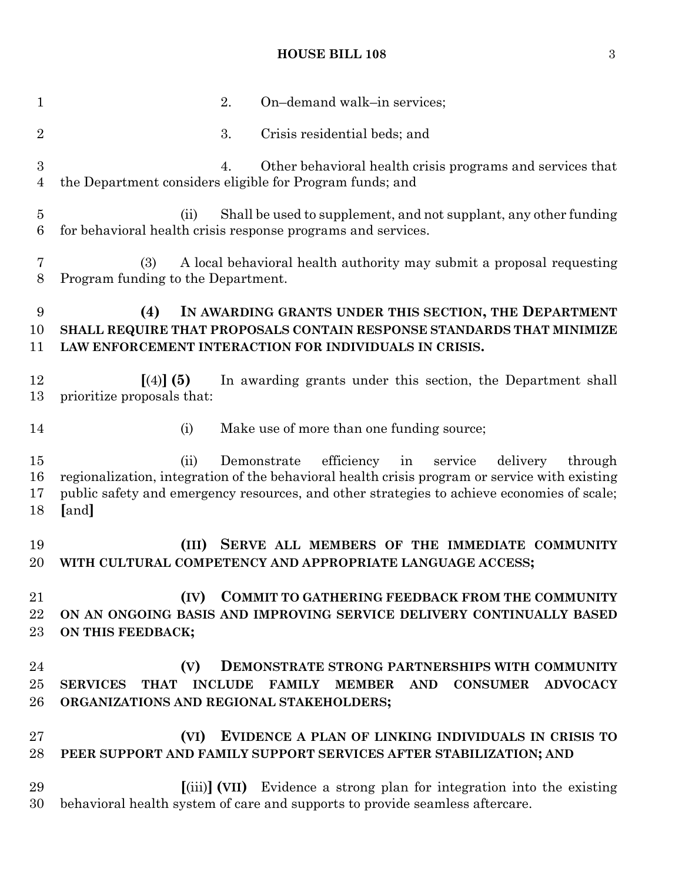# **HOUSE BILL 108** 3

| $\mathbf{1}$             | 2.<br>On-demand walk-in services;                                                                                                                                                                                                                                              |  |  |  |  |  |  |  |  |
|--------------------------|--------------------------------------------------------------------------------------------------------------------------------------------------------------------------------------------------------------------------------------------------------------------------------|--|--|--|--|--|--|--|--|
| $\overline{2}$           | 3.<br>Crisis residential beds; and                                                                                                                                                                                                                                             |  |  |  |  |  |  |  |  |
| 3<br>$\overline{4}$      | Other behavioral health crisis programs and services that<br>4.<br>the Department considers eligible for Program funds; and                                                                                                                                                    |  |  |  |  |  |  |  |  |
| $\overline{5}$<br>6      | Shall be used to supplement, and not supplant, any other funding<br>(ii)<br>for behavioral health crisis response programs and services.                                                                                                                                       |  |  |  |  |  |  |  |  |
| 7<br>8                   | (3)<br>A local behavioral health authority may submit a proposal requesting<br>Program funding to the Department.                                                                                                                                                              |  |  |  |  |  |  |  |  |
| 9<br>10<br>11            | IN AWARDING GRANTS UNDER THIS SECTION, THE DEPARTMENT<br>(4)<br>SHALL REQUIRE THAT PROPOSALS CONTAIN RESPONSE STANDARDS THAT MINIMIZE<br>LAW ENFORCEMENT INTERACTION FOR INDIVIDUALS IN CRISIS.                                                                                |  |  |  |  |  |  |  |  |
| 12<br>13                 | In awarding grants under this section, the Department shall<br>$(4)$ (5)<br>prioritize proposals that:                                                                                                                                                                         |  |  |  |  |  |  |  |  |
| 14                       | Make use of more than one funding source;<br>(i)                                                                                                                                                                                                                               |  |  |  |  |  |  |  |  |
| $15\,$<br>16<br>17<br>18 | Demonstrate efficiency<br>in<br>(ii)<br>service<br>delivery<br>through<br>regionalization, integration of the behavioral health crisis program or service with existing<br>public safety and emergency resources, and other strategies to achieve economies of scale;<br>[and] |  |  |  |  |  |  |  |  |
| 19<br>20                 | SERVE ALL MEMBERS OF THE IMMEDIATE COMMUNITY<br>(III)<br>WITH CULTURAL COMPETENCY AND APPROPRIATE LANGUAGE ACCESS;                                                                                                                                                             |  |  |  |  |  |  |  |  |
| 21<br>22<br>$23\,$       | <b>COMMIT TO GATHERING FEEDBACK FROM THE COMMUNITY</b><br>(IV)<br>ON AN ONGOING BASIS AND IMPROVING SERVICE DELIVERY CONTINUALLY BASED<br>ON THIS FEEDBACK;                                                                                                                    |  |  |  |  |  |  |  |  |
| 24<br>$25\,$<br>26       | (V)<br>DEMONSTRATE STRONG PARTNERSHIPS WITH COMMUNITY<br><b>THAT</b><br><b>INCLUDE</b><br><b>FAMILY</b><br><b>CONSUMER</b><br><b>ADVOCACY</b><br><b>SERVICES</b><br><b>MEMBER</b><br><b>AND</b><br>ORGANIZATIONS AND REGIONAL STAKEHOLDERS;                                    |  |  |  |  |  |  |  |  |
| $27\,$<br>28             | (VI)<br>EVIDENCE A PLAN OF LINKING INDIVIDUALS IN CRISIS TO<br>PEER SUPPORT AND FAMILY SUPPORT SERVICES AFTER STABILIZATION; AND                                                                                                                                               |  |  |  |  |  |  |  |  |
| 29<br>30                 | [(iii)] (VII) Evidence a strong plan for integration into the existing<br>behavioral health system of care and supports to provide seamless aftercare.                                                                                                                         |  |  |  |  |  |  |  |  |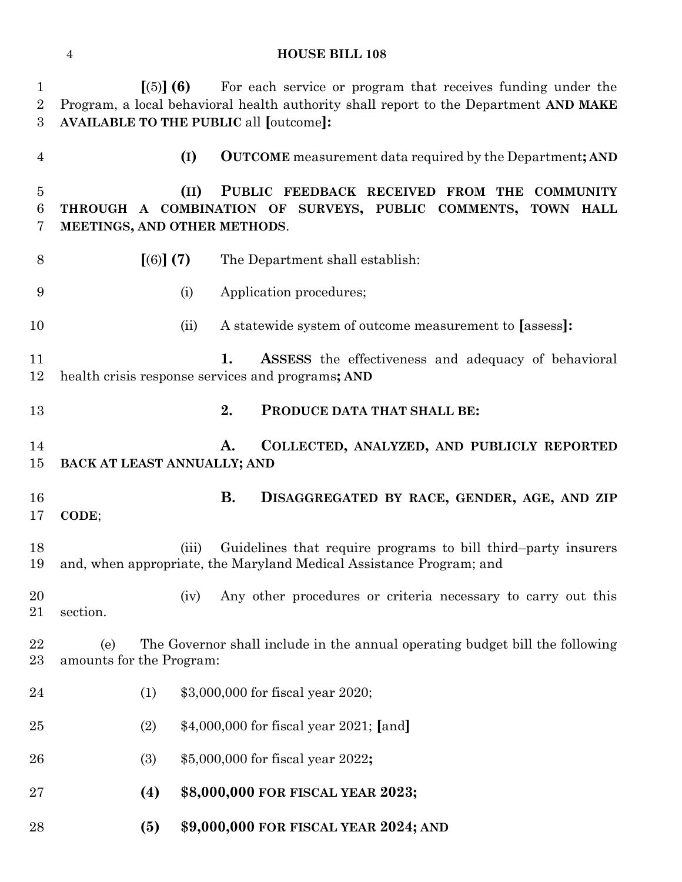# **HOUSE BILL 108**

| 1<br>$\overline{2}$ | $(5)$ (6)<br>Program, a local behavioral health authority shall report to the Department AND MAKE               |       |           | For each service or program that receives funding under the     |  |  |                  |  |  |  |
|---------------------|-----------------------------------------------------------------------------------------------------------------|-------|-----------|-----------------------------------------------------------------|--|--|------------------|--|--|--|
| 3                   | <b>AVAILABLE TO THE PUBLIC all [outcome]:</b>                                                                   |       |           |                                                                 |  |  |                  |  |  |  |
| 4                   |                                                                                                                 | (I)   |           | <b>OUTCOME</b> measurement data required by the Department; AND |  |  |                  |  |  |  |
| $\overline{5}$      |                                                                                                                 | (II)  |           | PUBLIC FEEDBACK RECEIVED FROM THE                               |  |  | <b>COMMUNITY</b> |  |  |  |
| 6                   | THROUGH A COMBINATION OF SURVEYS, PUBLIC COMMENTS,                                                              |       |           |                                                                 |  |  | TOWN HALL        |  |  |  |
| 7                   | MEETINGS, AND OTHER METHODS.                                                                                    |       |           |                                                                 |  |  |                  |  |  |  |
| 8                   | [(6)] (7)                                                                                                       |       |           | The Department shall establish:                                 |  |  |                  |  |  |  |
| 9                   |                                                                                                                 | (i)   |           | Application procedures;                                         |  |  |                  |  |  |  |
| 10                  |                                                                                                                 | (ii)  |           | A statewide system of outcome measurement to [assess]:          |  |  |                  |  |  |  |
| 11                  |                                                                                                                 |       | 1.        | <b>ASSESS</b> the effectiveness and adequacy of behavioral      |  |  |                  |  |  |  |
| 12                  | health crisis response services and programs; AND                                                               |       |           |                                                                 |  |  |                  |  |  |  |
| 13                  |                                                                                                                 |       | 2.        | PRODUCE DATA THAT SHALL BE:                                     |  |  |                  |  |  |  |
| 14                  |                                                                                                                 |       | A.        | COLLECTED, ANALYZED, AND PUBLICLY REPORTED                      |  |  |                  |  |  |  |
| 15                  | BACK AT LEAST ANNUALLY; AND                                                                                     |       |           |                                                                 |  |  |                  |  |  |  |
|                     |                                                                                                                 |       |           |                                                                 |  |  |                  |  |  |  |
| 16                  |                                                                                                                 |       | <b>B.</b> | DISAGGREGATED BY RACE, GENDER, AGE, AND ZIP                     |  |  |                  |  |  |  |
| 17                  | CODE;                                                                                                           |       |           |                                                                 |  |  |                  |  |  |  |
| 18<br>19            | and, when appropriate, the Maryland Medical Assistance Program; and                                             | (iii) |           | Guidelines that require programs to bill third-party insurers   |  |  |                  |  |  |  |
| $20\,$              |                                                                                                                 | (iv)  |           | Any other procedures or criteria necessary to carry out this    |  |  |                  |  |  |  |
| 21                  | section.                                                                                                        |       |           |                                                                 |  |  |                  |  |  |  |
| 22<br>$23\,$        | The Governor shall include in the annual operating budget bill the following<br>(e)<br>amounts for the Program: |       |           |                                                                 |  |  |                  |  |  |  |
| 24                  | (1)                                                                                                             |       |           | \$3,000,000 for fiscal year 2020;                               |  |  |                  |  |  |  |
| 25                  | (2)                                                                                                             |       |           | \$4,000,000 for fiscal year 2021; [and]                         |  |  |                  |  |  |  |
| 26                  | (3)                                                                                                             |       |           | \$5,000,000 for fiscal year 2022;                               |  |  |                  |  |  |  |
| $27\,$              | (4)                                                                                                             |       |           | \$8,000,000 FOR FISCAL YEAR 2023;                               |  |  |                  |  |  |  |
| 28                  | (5)                                                                                                             |       |           | \$9,000,000 FOR FISCAL YEAR 2024; AND                           |  |  |                  |  |  |  |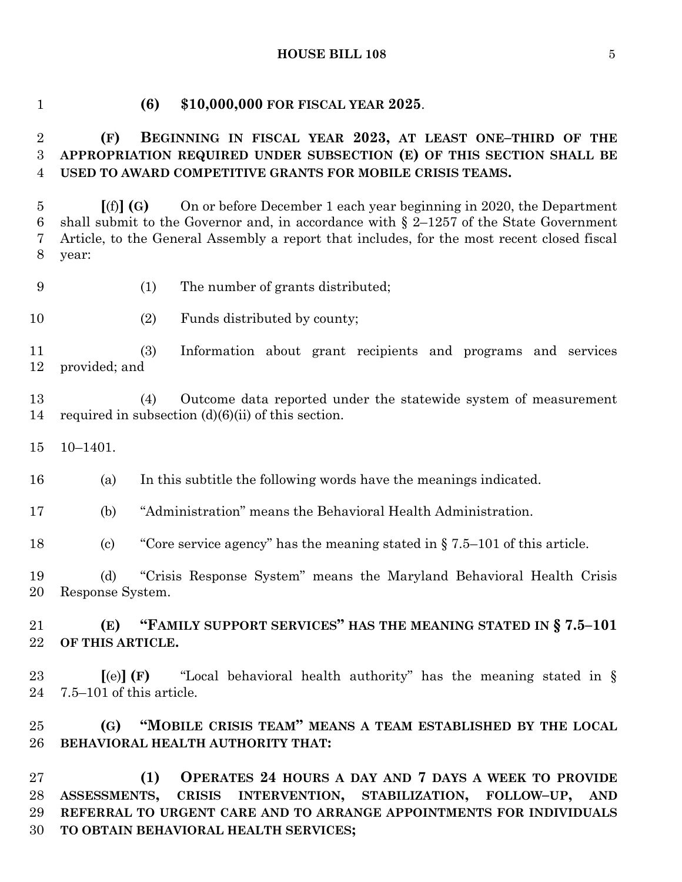#### **HOUSE BILL 108** 5

### **(6) \$10,000,000 FOR FISCAL YEAR 2025**.

## **(F) BEGINNING IN FISCAL YEAR 2023, AT LEAST ONE–THIRD OF THE APPROPRIATION REQUIRED UNDER SUBSECTION (E) OF THIS SECTION SHALL BE USED TO AWARD COMPETITIVE GRANTS FOR MOBILE CRISIS TEAMS.**

 **[**(f)**] (G)** On or before December 1 each year beginning in 2020, the Department 6 shall submit to the Governor and, in accordance with  $\S$  2–1257 of the State Government Article, to the General Assembly a report that includes, for the most recent closed fiscal year:

- (1) The number of grants distributed;
- 10 (2) Funds distributed by county;

 (3) Information about grant recipients and programs and services provided; and

 (4) Outcome data reported under the statewide system of measurement 14 required in subsection  $(d)(6)(ii)$  of this section.

10–1401.

(a) In this subtitle the following words have the meanings indicated.

(b) "Administration" means the Behavioral Health Administration.

(c) "Core service agency" has the meaning stated in § 7.5–101 of this article.

 (d) "Crisis Response System" means the Maryland Behavioral Health Crisis Response System.

 **(E) "FAMILY SUPPORT SERVICES" HAS THE MEANING STATED IN § 7.5–101 OF THIS ARTICLE.**

 **[**(e)**] (F)** "Local behavioral health authority" has the meaning stated in § 7.5–101 of this article.

 **(G) "MOBILE CRISIS TEAM" MEANS A TEAM ESTABLISHED BY THE LOCAL BEHAVIORAL HEALTH AUTHORITY THAT:**

 **(1) OPERATES 24 HOURS A DAY AND 7 DAYS A WEEK TO PROVIDE ASSESSMENTS, CRISIS INTERVENTION, STABILIZATION, FOLLOW–UP, AND REFERRAL TO URGENT CARE AND TO ARRANGE APPOINTMENTS FOR INDIVIDUALS TO OBTAIN BEHAVIORAL HEALTH SERVICES;**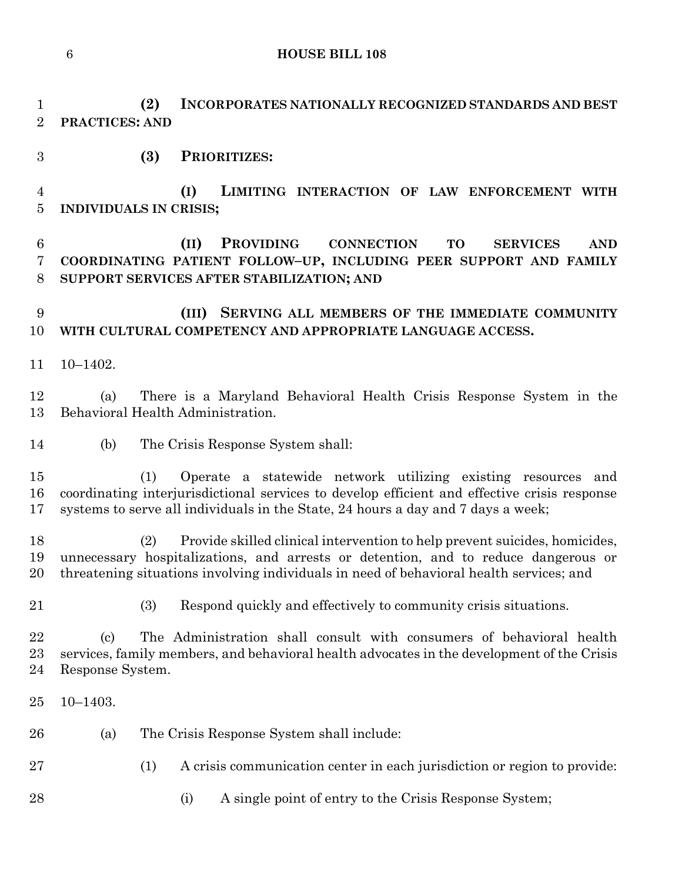**HOUSE BILL 108**

 **(2) INCORPORATES NATIONALLY RECOGNIZED STANDARDS AND BEST PRACTICES: AND** 

**(3) PRIORITIZES:**

 **(I) LIMITING INTERACTION OF LAW ENFORCEMENT WITH INDIVIDUALS IN CRISIS;**

 **(II) PROVIDING CONNECTION TO SERVICES AND COORDINATING PATIENT FOLLOW–UP, INCLUDING PEER SUPPORT AND FAMILY SUPPORT SERVICES AFTER STABILIZATION; AND**

 **(III) SERVING ALL MEMBERS OF THE IMMEDIATE COMMUNITY WITH CULTURAL COMPETENCY AND APPROPRIATE LANGUAGE ACCESS.**

10–1402.

 (a) There is a Maryland Behavioral Health Crisis Response System in the Behavioral Health Administration.

(b) The Crisis Response System shall:

 (1) Operate a statewide network utilizing existing resources and coordinating interjurisdictional services to develop efficient and effective crisis response systems to serve all individuals in the State, 24 hours a day and 7 days a week;

 (2) Provide skilled clinical intervention to help prevent suicides, homicides, unnecessary hospitalizations, and arrests or detention, and to reduce dangerous or threatening situations involving individuals in need of behavioral health services; and

(3) Respond quickly and effectively to community crisis situations.

 (c) The Administration shall consult with consumers of behavioral health services, family members, and behavioral health advocates in the development of the Crisis Response System.

- 10–1403.
- (a) The Crisis Response System shall include:
- (1) A crisis communication center in each jurisdiction or region to provide:
- 28 (i) A single point of entry to the Crisis Response System;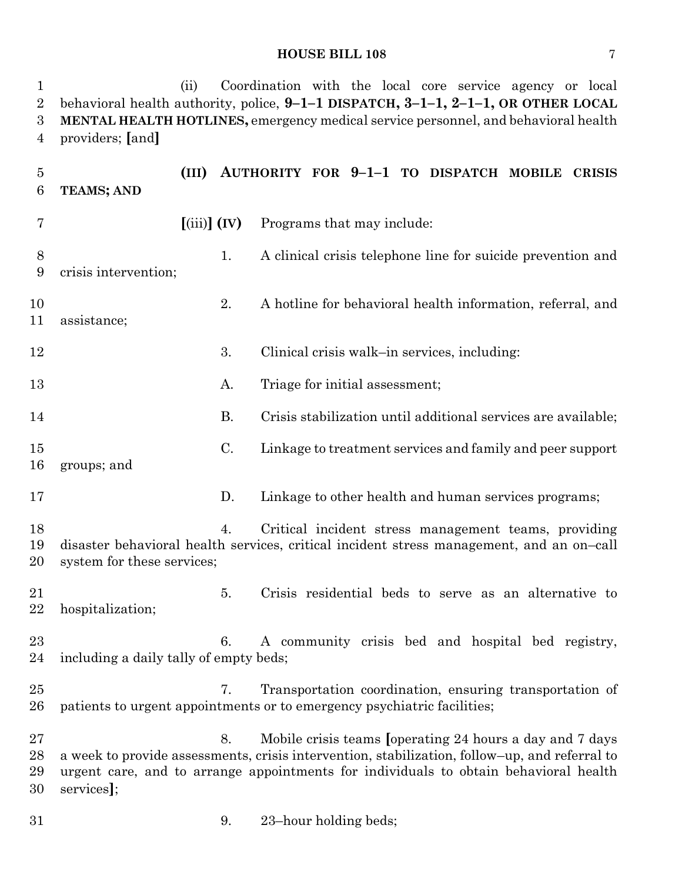#### **HOUSE BILL 108** 7

 (ii) Coordination with the local core service agency or local behavioral health authority, police, **9–1–1 DISPATCH, 3–1–1, 2–1–1, OR OTHER LOCAL MENTAL HEALTH HOTLINES,** emergency medical service personnel, and behavioral health providers; **[**and**] (III) AUTHORITY FOR 9–1–1 TO DISPATCH MOBILE CRISIS TEAMS; AND**

 **[**(iii)**] (IV)** Programs that may include: 1. A clinical crisis telephone line for suicide prevention and crisis intervention; 2. A hotline for behavioral health information, referral, and assistance; 12 3. Clinical crisis walk–in services, including: 13 A. Triage for initial assessment; B. Crisis stabilization until additional services are available; C. Linkage to treatment services and family and peer support groups; and D. Linkage to other health and human services programs; 4. Critical incident stress management teams, providing disaster behavioral health services, critical incident stress management, and an on–call system for these services; 5. Crisis residential beds to serve as an alternative to hospitalization; 6. A community crisis bed and hospital bed registry, including a daily tally of empty beds; 7. Transportation coordination, ensuring transportation of patients to urgent appointments or to emergency psychiatric facilities; 8. Mobile crisis teams **[**operating 24 hours a day and 7 days a week to provide assessments, crisis intervention, stabilization, follow–up, and referral to urgent care, and to arrange appointments for individuals to obtain behavioral health services**]**; 9. 23–hour holding beds;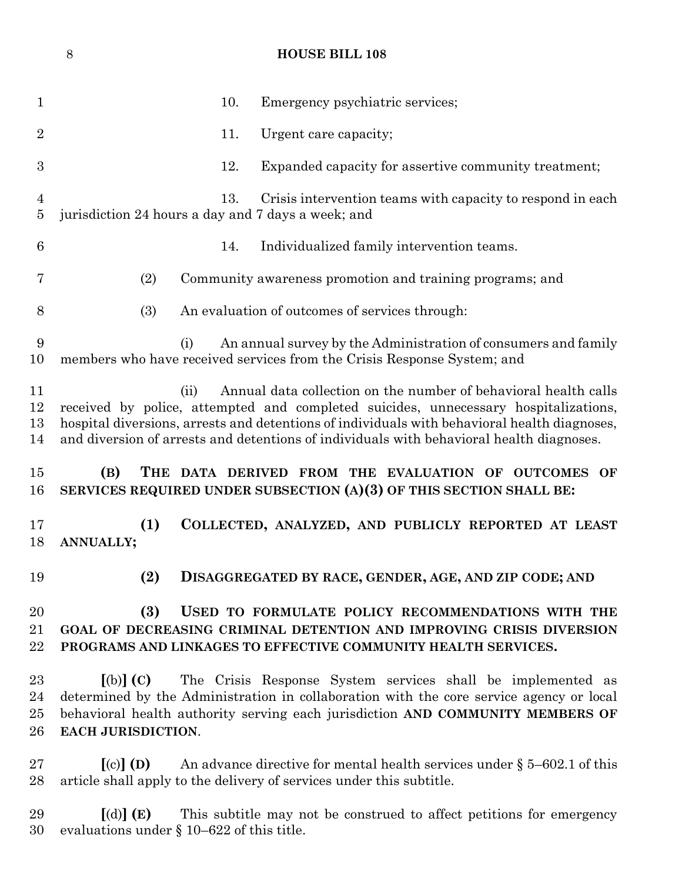|                                  | $8\,$<br><b>HOUSE BILL 108</b>                                                                                                                                                                                                                                                                                                                             |  |  |  |  |  |  |  |  |
|----------------------------------|------------------------------------------------------------------------------------------------------------------------------------------------------------------------------------------------------------------------------------------------------------------------------------------------------------------------------------------------------------|--|--|--|--|--|--|--|--|
| $\mathbf 1$                      | 10.<br>Emergency psychiatric services;                                                                                                                                                                                                                                                                                                                     |  |  |  |  |  |  |  |  |
| $\overline{2}$                   | Urgent care capacity;<br>11.                                                                                                                                                                                                                                                                                                                               |  |  |  |  |  |  |  |  |
| $\boldsymbol{3}$                 | 12.<br>Expanded capacity for assertive community treatment;                                                                                                                                                                                                                                                                                                |  |  |  |  |  |  |  |  |
| $\overline{4}$<br>$\overline{5}$ | 13.<br>Crisis intervention teams with capacity to respond in each<br>jurisdiction 24 hours a day and 7 days a week; and                                                                                                                                                                                                                                    |  |  |  |  |  |  |  |  |
| 6                                | 14.<br>Individualized family intervention teams.                                                                                                                                                                                                                                                                                                           |  |  |  |  |  |  |  |  |
| 7                                | (2)<br>Community awareness promotion and training programs; and                                                                                                                                                                                                                                                                                            |  |  |  |  |  |  |  |  |
| 8                                | (3)<br>An evaluation of outcomes of services through:                                                                                                                                                                                                                                                                                                      |  |  |  |  |  |  |  |  |
| 9<br>10                          | An annual survey by the Administration of consumers and family<br>(i)<br>members who have received services from the Crisis Response System; and                                                                                                                                                                                                           |  |  |  |  |  |  |  |  |
| 11<br>12<br>13<br>14             | Annual data collection on the number of behavioral health calls<br>(ii)<br>received by police, attempted and completed suicides, unnecessary hospitalizations,<br>hospital diversions, arrests and detentions of individuals with behavioral health diagnoses,<br>and diversion of arrests and detentions of individuals with behavioral health diagnoses. |  |  |  |  |  |  |  |  |
| 15<br>16                         | (B)<br>THE DATA DERIVED FROM THE EVALUATION OF OUTCOMES OF<br>SERVICES REQUIRED UNDER SUBSECTION (A)(3) OF THIS SECTION SHALL BE:                                                                                                                                                                                                                          |  |  |  |  |  |  |  |  |
| 17<br>18                         | (1)<br>COLLECTED, ANALYZED, AND PUBLICLY REPORTED AT LEAST<br>ANNUALLY;                                                                                                                                                                                                                                                                                    |  |  |  |  |  |  |  |  |
| 19                               | (2)<br>DISAGGREGATED BY RACE, GENDER, AGE, AND ZIP CODE; AND                                                                                                                                                                                                                                                                                               |  |  |  |  |  |  |  |  |
| 20<br>21<br>22                   | (3)<br>USED TO FORMULATE POLICY RECOMMENDATIONS WITH THE<br>GOAL OF DECREASING CRIMINAL DETENTION AND IMPROVING CRISIS DIVERSION<br>PROGRAMS AND LINKAGES TO EFFECTIVE COMMUNITY HEALTH SERVICES.                                                                                                                                                          |  |  |  |  |  |  |  |  |
| 23<br>24<br>25<br>26             | The Crisis Response System services shall be implemented as<br>$\lbrack \text{(b)} \rbrack$ (C)<br>determined by the Administration in collaboration with the core service agency or local<br>behavioral health authority serving each jurisdiction AND COMMUNITY MEMBERS OF<br>EACH JURISDICTION.                                                         |  |  |  |  |  |  |  |  |
| $27\,$<br>28                     | $\left[ \text{(c)} \right]$ (D)<br>An advance directive for mental health services under $\S$ 5–602.1 of this<br>article shall apply to the delivery of services under this subtitle.                                                                                                                                                                      |  |  |  |  |  |  |  |  |

 **[**(d)**] (E)** This subtitle may not be construed to affect petitions for emergency evaluations under § 10–622 of this title.